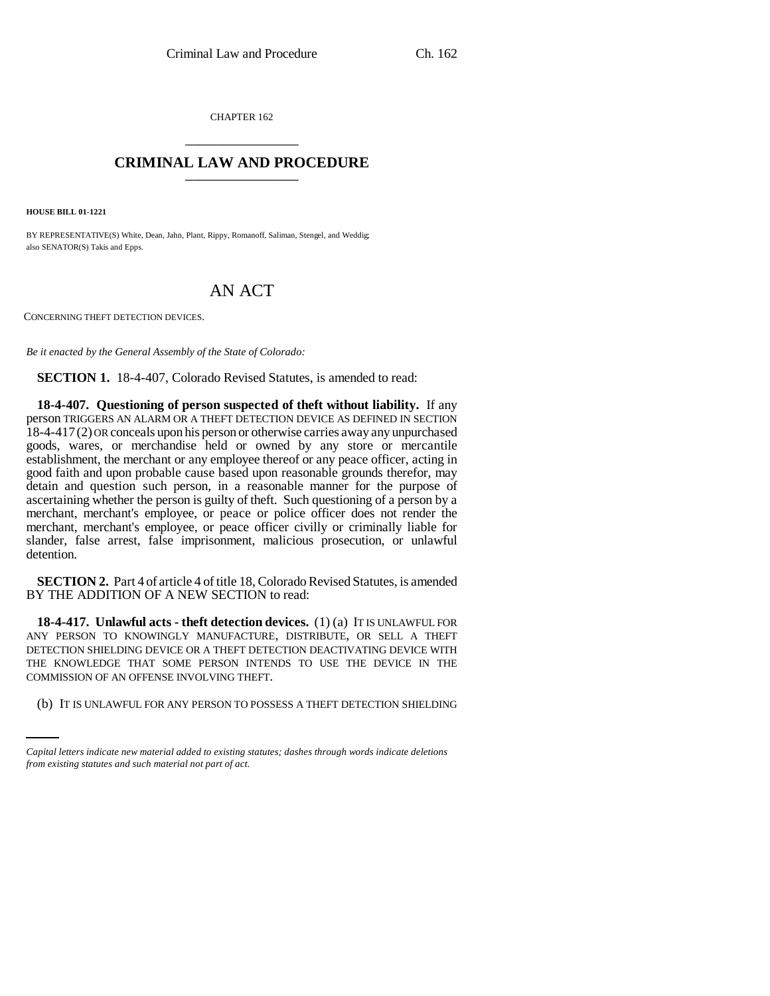CHAPTER 162 \_\_\_\_\_\_\_\_\_\_\_\_\_\_\_

## **CRIMINAL LAW AND PROCEDURE** \_\_\_\_\_\_\_\_\_\_\_\_\_\_\_

**HOUSE BILL 01-1221**

BY REPRESENTATIVE(S) White, Dean, Jahn, Plant, Rippy, Romanoff, Saliman, Stengel, and Weddig; also SENATOR(S) Takis and Epps.

## AN ACT

CONCERNING THEFT DETECTION DEVICES.

*Be it enacted by the General Assembly of the State of Colorado:*

**SECTION 1.** 18-4-407, Colorado Revised Statutes, is amended to read:

**18-4-407. Questioning of person suspected of theft without liability.** If any person TRIGGERS AN ALARM OR A THEFT DETECTION DEVICE AS DEFINED IN SECTION 18-4-417(2) OR conceals upon his person or otherwise carries away any unpurchased goods, wares, or merchandise held or owned by any store or mercantile establishment, the merchant or any employee thereof or any peace officer, acting in good faith and upon probable cause based upon reasonable grounds therefor, may detain and question such person, in a reasonable manner for the purpose of ascertaining whether the person is guilty of theft. Such questioning of a person by a merchant, merchant's employee, or peace or police officer does not render the merchant, merchant's employee, or peace officer civilly or criminally liable for slander, false arrest, false imprisonment, malicious prosecution, or unlawful detention.

**SECTION 2.** Part 4 of article 4 of title 18, Colorado Revised Statutes, is amended BY THE ADDITION OF A NEW SECTION to read:

COMMISSION OF AN OFFENSE INVOLVING THEFT. **18-4-417. Unlawful acts - theft detection devices.** (1) (a) IT IS UNLAWFUL FOR ANY PERSON TO KNOWINGLY MANUFACTURE, DISTRIBUTE, OR SELL A THEFT DETECTION SHIELDING DEVICE OR A THEFT DETECTION DEACTIVATING DEVICE WITH THE KNOWLEDGE THAT SOME PERSON INTENDS TO USE THE DEVICE IN THE

(b) IT IS UNLAWFUL FOR ANY PERSON TO POSSESS A THEFT DETECTION SHIELDING

*Capital letters indicate new material added to existing statutes; dashes through words indicate deletions from existing statutes and such material not part of act.*